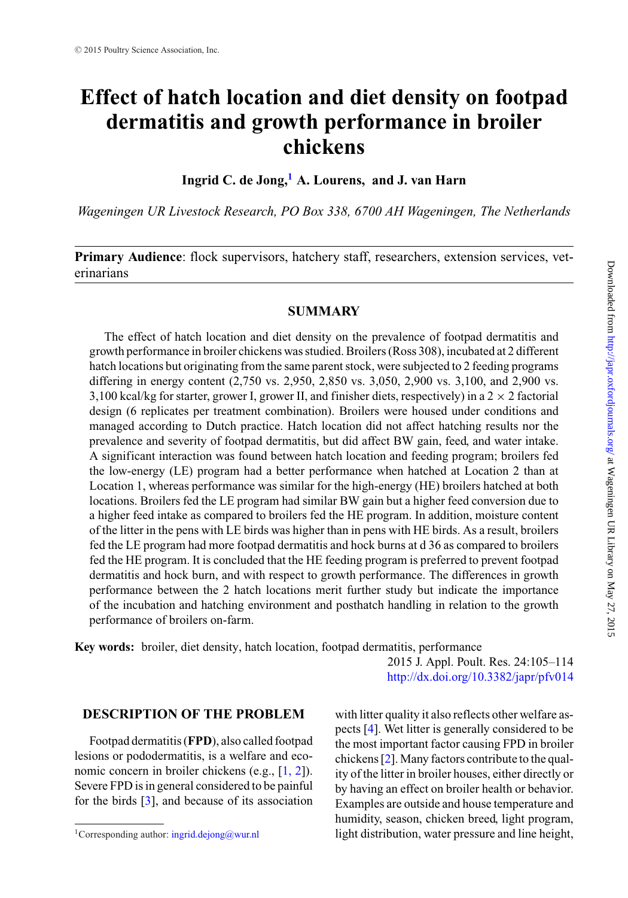# **Effect of hatch location and diet density on footpad dermatitis and growth performance in broiler chickens**

**Ingrid C. de Jong,[1](#page-0-0) A. Lourens, and J. van Harn**

*Wageningen UR Livestock Research, PO Box 338, 6700 AH Wageningen, The Netherlands*

**Primary Audience**: flock supervisors, hatchery staff, researchers, extension services, veterinarians

## **SUMMARY**

The effect of hatch location and diet density on the prevalence of footpad dermatitis and growth performance in broiler chickens was studied. Broilers (Ross 308), incubated at 2 different hatch locations but originating from the same parent stock, were subjected to 2 feeding programs differing in energy content (2,750 vs. 2,950, 2,850 vs. 3,050, 2,900 vs. 3,100, and 2,900 vs. 3,100 kcal/kg for starter, grower I, grower II, and finisher diets, respectively) in a  $2 \times 2$  factorial design (6 replicates per treatment combination). Broilers were housed under conditions and managed according to Dutch practice. Hatch location did not affect hatching results nor the prevalence and severity of footpad dermatitis, but did affect BW gain, feed, and water intake. A significant interaction was found between hatch location and feeding program; broilers fed the low-energy (LE) program had a better performance when hatched at Location 2 than at Location 1, whereas performance was similar for the high-energy (HE) broilers hatched at both locations. Broilers fed the LE program had similar BW gain but a higher feed conversion due to a higher feed intake as compared to broilers fed the HE program. In addition, moisture content of the litter in the pens with LE birds was higher than in pens with HE birds. As a result, broilers fed the LE program had more footpad dermatitis and hock burns at d 36 as compared to broilers fed the HE program. It is concluded that the HE feeding program is preferred to prevent footpad dermatitis and hock burn, and with respect to growth performance. The differences in growth performance between the 2 hatch locations merit further study but indicate the importance of the incubation and hatching environment and posthatch handling in relation to the growth performance of broilers on-farm.

**Key words:** broiler, diet density, hatch location, footpad dermatitis, performance

2015 J. Appl. Poult. Res. 24:105–114 <http://dx.doi.org/10.3382/japr/pfv014>

# **DESCRIPTION OF THE PROBLEM**

Footpad dermatitis (**FPD**), also called footpad lesions or pododermatitis, is a welfare and economic concern in broiler chickens (e.g., [1, 2]). Severe FPD is in general considered to be painful for the birds [\[3\]](#page-8-0), and because of its association with litter quality it also reflects other welfare aspects [\[4\]](#page-8-1). Wet litter is generally considered to be the most important factor causing FPD in broiler chickens [\[2\]](#page-8-2). Many factors contribute to the quality of the litter in broiler houses, either directly or by having an effect on broiler health or behavior. Examples are outside and house temperature and humidity, season, chicken breed, light program, light distribution, water pressure and line height,

<span id="page-0-0"></span><sup>&</sup>lt;sup>1</sup>Corresponding author:  $ingrid.dejong@wur.nl$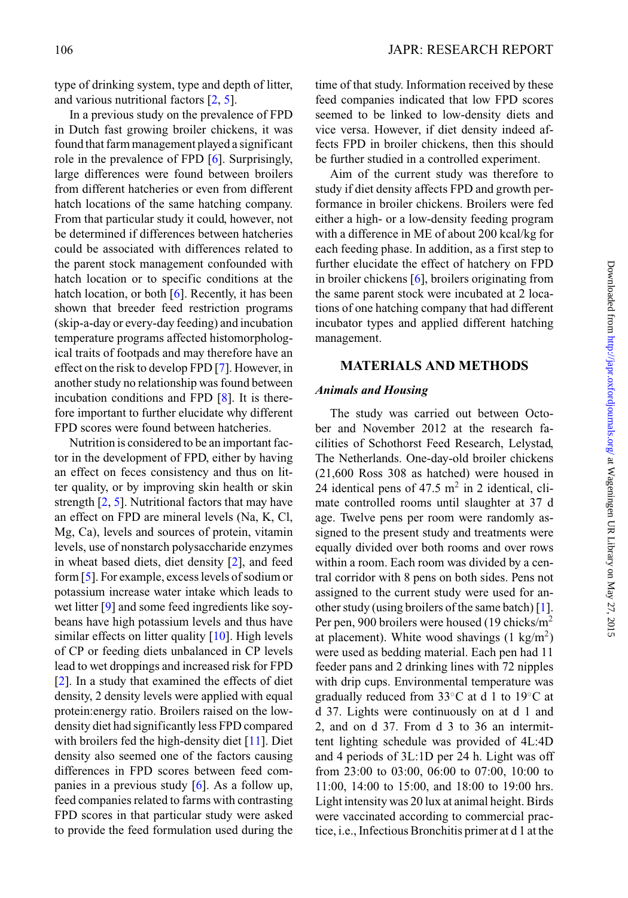type of drinking system, type and depth of litter, and various nutritional factors [\[2,](#page-8-2) [5\]](#page-8-3).

In a previous study on the prevalence of FPD in Dutch fast growing broiler chickens, it was found that farm management played a significant role in the prevalence of FPD [\[6\]](#page-8-4). Surprisingly, large differences were found between broilers from different hatcheries or even from different hatch locations of the same hatching company. From that particular study it could, however, not be determined if differences between hatcheries could be associated with differences related to the parent stock management confounded with hatch location or to specific conditions at the hatch location, or both  $[6]$ . Recently, it has been shown that breeder feed restriction programs (skip-a-day or every-day feeding) and incubation temperature programs affected histomorphological traits of footpads and may therefore have an effect on the risk to develop FPD [\[7\]](#page-8-5). However, in another study no relationship was found between incubation conditions and FPD [\[8\]](#page-8-6). It is therefore important to further elucidate why different FPD scores were found between hatcheries.

Nutrition is considered to be an important factor in the development of FPD, either by having an effect on feces consistency and thus on litter quality, or by improving skin health or skin strength [\[2,](#page-8-2) [5\]](#page-8-3). Nutritional factors that may have an effect on FPD are mineral levels (Na, K, Cl, Mg, Ca), levels and sources of protein, vitamin levels, use of nonstarch polysaccharide enzymes in wheat based diets, diet density [\[2\]](#page-8-2), and feed form [\[5\]](#page-8-3). For example, excess levels of sodium or potassium increase water intake which leads to wet litter [\[9\]](#page-8-7) and some feed ingredients like soybeans have high potassium levels and thus have similar effects on litter quality [\[10\]](#page-9-0). High levels of CP or feeding diets unbalanced in CP levels lead to wet droppings and increased risk for FPD [\[2\]](#page-8-2). In a study that examined the effects of diet density, 2 density levels were applied with equal protein:energy ratio. Broilers raised on the lowdensity diet had significantly less FPD compared with broilers fed the high-density diet [\[11\]](#page-9-1). Diet density also seemed one of the factors causing differences in FPD scores between feed companies in a previous study [\[6\]](#page-8-4). As a follow up, feed companies related to farms with contrasting FPD scores in that particular study were asked to provide the feed formulation used during the

time of that study. Information received by these feed companies indicated that low FPD scores seemed to be linked to low-density diets and vice versa. However, if diet density indeed affects FPD in broiler chickens, then this should be further studied in a controlled experiment.

Aim of the current study was therefore to study if diet density affects FPD and growth performance in broiler chickens. Broilers were fed either a high- or a low-density feeding program with a difference in ME of about 200 kcal/kg for each feeding phase. In addition, as a first step to further elucidate the effect of hatchery on FPD in broiler chickens [\[6\]](#page-8-4), broilers originating from the same parent stock were incubated at 2 locations of one hatching company that had different incubator types and applied different hatching management.

# **MATERIALS AND METHODS**

#### *Animals and Housing*

The study was carried out between October and November 2012 at the research facilities of Schothorst Feed Research, Lelystad, The Netherlands. One-day-old broiler chickens (21,600 Ross 308 as hatched) were housed in 24 identical pens of  $47.5 \text{ m}^2$  in 2 identical, climate controlled rooms until slaughter at 37 d age. Twelve pens per room were randomly assigned to the present study and treatments were equally divided over both rooms and over rows within a room. Each room was divided by a central corridor with 8 pens on both sides. Pens not assigned to the current study were used for another study (using broilers of the same batch) [\[1\]](#page-8-8). Per pen, 900 broilers were housed (19 chicks/m<sup>2</sup>) at placement). White wood shavings  $(1 \text{ kg/m}^2)$ were used as bedding material. Each pen had 11 feeder pans and 2 drinking lines with 72 nipples with drip cups. Environmental temperature was gradually reduced from 33◦C at d 1 to 19◦C at d 37. Lights were continuously on at d 1 and 2, and on d 37. From d 3 to 36 an intermittent lighting schedule was provided of 4L:4D and 4 periods of 3L:1D per 24 h. Light was off from 23:00 to 03:00, 06:00 to 07:00, 10:00 to 11:00, 14:00 to 15:00, and 18:00 to 19:00 hrs. Light intensity was 20 lux at animal height. Birds were vaccinated according to commercial practice, i.e., Infectious Bronchitis primer at d 1 at the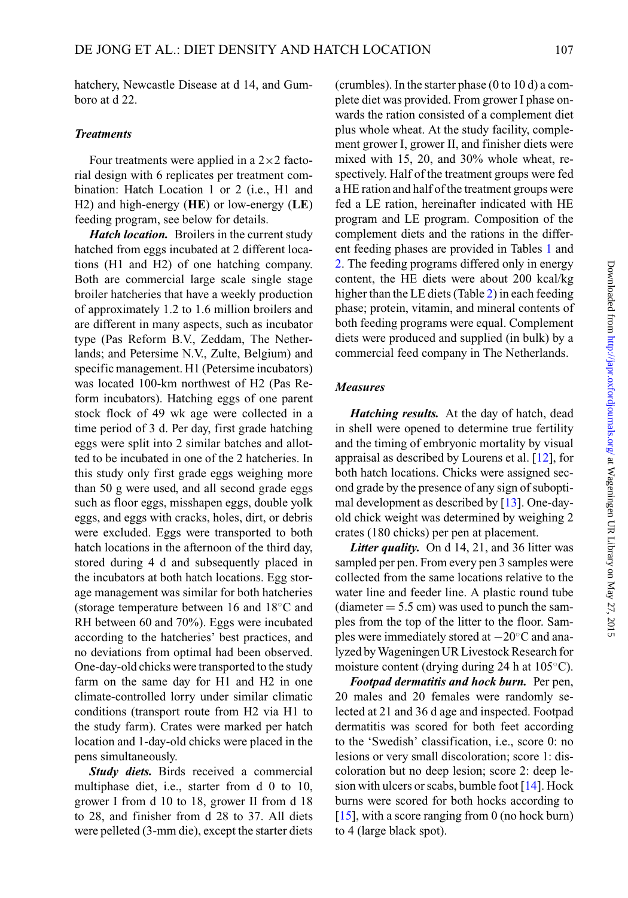hatchery, Newcastle Disease at d 14, and Gumboro at d 22.

#### *Treatments*

Four treatments were applied in a  $2 \times 2$  factorial design with 6 replicates per treatment combination: Hatch Location 1 or 2 (i.e., H1 and H2) and high-energy (**HE**) or low-energy (**LE**) feeding program, see below for details.

*Hatch location.* Broilers in the current study hatched from eggs incubated at 2 different locations (H1 and H2) of one hatching company. Both are commercial large scale single stage broiler hatcheries that have a weekly production of approximately 1.2 to 1.6 million broilers and are different in many aspects, such as incubator type (Pas Reform B.V., Zeddam, The Netherlands; and Petersime N.V., Zulte, Belgium) and specific management. H1 (Petersime incubators) was located 100-km northwest of H2 (Pas Reform incubators). Hatching eggs of one parent stock flock of 49 wk age were collected in a time period of 3 d. Per day, first grade hatching eggs were split into 2 similar batches and allotted to be incubated in one of the 2 hatcheries. In this study only first grade eggs weighing more than 50 g were used, and all second grade eggs such as floor eggs, misshapen eggs, double yolk eggs, and eggs with cracks, holes, dirt, or debris were excluded. Eggs were transported to both hatch locations in the afternoon of the third day, stored during 4 d and subsequently placed in the incubators at both hatch locations. Egg storage management was similar for both hatcheries (storage temperature between 16 and 18◦C and RH between 60 and 70%). Eggs were incubated according to the hatcheries' best practices, and no deviations from optimal had been observed. One-day-old chicks were transported to the study farm on the same day for H1 and H2 in one climate-controlled lorry under similar climatic conditions (transport route from H2 via H1 to the study farm). Crates were marked per hatch location and 1-day-old chicks were placed in the pens simultaneously.

*Study diets.* Birds received a commercial multiphase diet, i.e., starter from d 0 to 10, grower I from d 10 to 18, grower II from d 18 to 28, and finisher from d 28 to 37. All diets were pelleted (3-mm die), except the starter diets (crumbles). In the starter phase (0 to 10 d) a complete diet was provided. From grower I phase onwards the ration consisted of a complement diet plus whole wheat. At the study facility, complement grower I, grower II, and finisher diets were mixed with 15, 20, and 30% whole wheat, respectively. Half of the treatment groups were fed a HE ration and half of the treatment groups were fed a LE ration, hereinafter indicated with HE program and LE program. Composition of the complement diets and the rations in the different feeding phases are provided in Tables [1](#page-3-0) and [2.](#page-4-0) The feeding programs differed only in energy content, the HE diets were about 200 kcal/kg higher than the LE diets (Table [2\)](#page-4-0) in each feeding phase; protein, vitamin, and mineral contents of both feeding programs were equal. Complement diets were produced and supplied (in bulk) by a commercial feed company in The Netherlands.

### *Measures*

*Hatching results.* At the day of hatch, dead in shell were opened to determine true fertility and the timing of embryonic mortality by visual appraisal as described by Lourens et al. [\[12\]](#page-9-2), for both hatch locations. Chicks were assigned second grade by the presence of any sign of suboptimal development as described by [\[13\]](#page-9-3). One-dayold chick weight was determined by weighing 2 crates (180 chicks) per pen at placement.

*Litter quality.* On d 14, 21, and 36 litter was sampled per pen. From every pen 3 samples were collected from the same locations relative to the water line and feeder line. A plastic round tube  $(diameter = 5.5 cm)$  was used to punch the samples from the top of the litter to the floor. Samples were immediately stored at −20◦C and analyzed byWageningen UR Livestock Research for moisture content (drying during 24 h at 105◦C).

*Footpad dermatitis and hock burn.* Per pen, 20 males and 20 females were randomly selected at 21 and 36 d age and inspected. Footpad dermatitis was scored for both feet according to the 'Swedish' classification, i.e., score 0: no lesions or very small discoloration; score 1: discoloration but no deep lesion; score 2: deep lesion with ulcers or scabs, bumble foot [\[14\]](#page-9-4). Hock burns were scored for both hocks according to [\[15\]](#page-9-5), with a score ranging from 0 (no hock burn) to 4 (large black spot).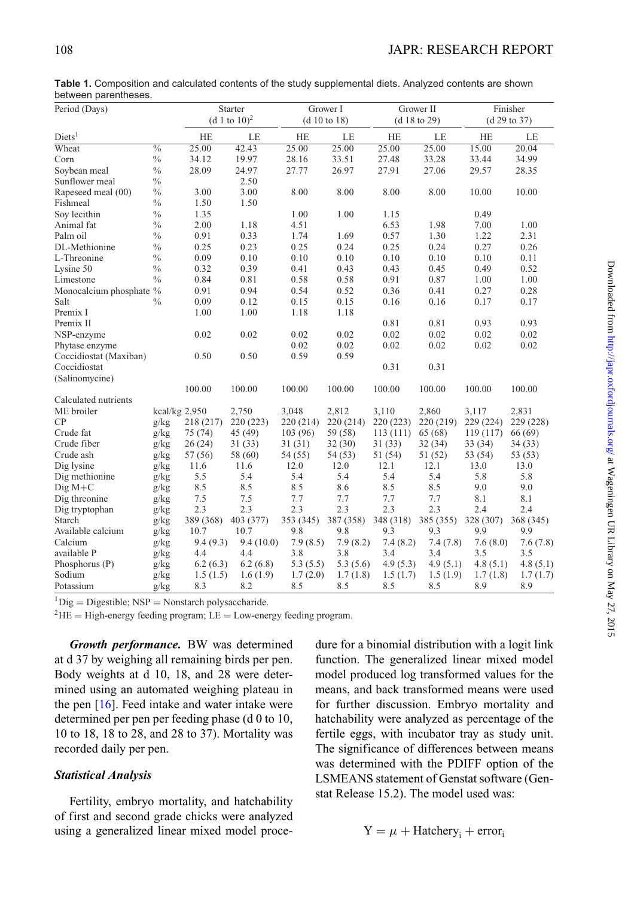| Period (Days)           |                          |                 | Starter   |              | Grower I  |              | Grower II |              | Finisher  |  |
|-------------------------|--------------------------|-----------------|-----------|--------------|-----------|--------------|-----------|--------------|-----------|--|
|                         |                          | (d 1 to $10)^2$ |           | (d 10 to 18) |           | (d 18 to 29) |           | (d 29 to 37) |           |  |
| Diets <sup>1</sup>      |                          | <b>HE</b>       | LE        | HE           | LE        | <b>HE</b>    | LE        | HE           | LE        |  |
| Wheat                   | $\overline{\frac{0}{0}}$ | 25.00           | 42.43     | 25.00        | 25.00     | 25.00        | 25.00     | 15.00        | 20.04     |  |
| Corn                    | $\%$                     | 34.12           | 19.97     | 28.16        | 33.51     | 27.48        | 33.28     | 33.44        | 34.99     |  |
| Soybean meal            | $\frac{0}{0}$            | 28.09           | 24.97     | 27.77        | 26.97     | 27.91        | 27.06     | 29.57        | 28.35     |  |
| Sunflower meal          | $\%$                     |                 | 2.50      |              |           |              |           |              |           |  |
| Rapeseed meal (00)      | $\%$                     | 3.00            | 3.00      | 8.00         | 8.00      | 8.00         | 8.00      | 10.00        | 10.00     |  |
| Fishmeal                | $\frac{0}{0}$            | 1.50            | 1.50      |              |           |              |           |              |           |  |
| Soy lecithin            | $\frac{0}{0}$            | 1.35            |           | 1.00         | 1.00      | 1.15         |           | 0.49         |           |  |
| Animal fat              | $\frac{0}{0}$            | 2.00            | 1.18      | 4.51         |           | 6.53         | 1.98      | 7.00         | 1.00      |  |
| Palm oil                | $\frac{0}{0}$            | 0.91            | 0.33      | 1.74         | 1.69      | 0.57         | 1.30      | 1.22         | 2.31      |  |
| DL-Methionine           | $\%$                     | 0.25            | 0.23      | 0.25         | 0.24      | 0.25         | 0.24      | 0.27         | 0.26      |  |
| L-Threonine             | $\frac{0}{0}$            | 0.09            | 0.10      | 0.10         | 0.10      | 0.10         | 0.10      | 0.10         | 0.11      |  |
| Lysine 50               | $\frac{0}{0}$            | 0.32            | 0.39      | 0.41         | 0.43      | 0.43         | 0.45      | 0.49         | 0.52      |  |
| Limestone               | $\frac{0}{0}$            | 0.84            | 0.81      | 0.58         | 0.58      | 0.91         | 0.87      | 1.00         | 1.00      |  |
| Monocalcium phosphate % |                          | 0.91            | 0.94      | 0.54         | 0.52      | 0.36         | 0.41      | 0.27         | 0.28      |  |
| Salt                    | $\frac{0}{0}$            | 0.09            | 0.12      | 0.15         | 0.15      | 0.16         | 0.16      | 0.17         | 0.17      |  |
| Premix I                |                          | 1.00            | 1.00      | 1.18         | 1.18      |              |           |              |           |  |
| Premix II               |                          |                 |           |              |           | 0.81         | 0.81      | 0.93         | 0.93      |  |
| NSP-enzyme              |                          | 0.02            | 0.02      | 0.02         | 0.02      | 0.02         | 0.02      | 0.02         | 0.02      |  |
| Phytase enzyme          |                          |                 |           | 0.02         | 0.02      | 0.02         | 0.02      | 0.02         | 0.02      |  |
| Coccidiostat (Maxiban)  |                          | 0.50            | 0.50      | 0.59         | 0.59      |              |           |              |           |  |
| Coccidiostat            |                          |                 |           |              |           | 0.31         | 0.31      |              |           |  |
| (Salinomycine)          |                          |                 |           |              |           |              |           |              |           |  |
|                         |                          | 100.00          | 100.00    | 100.00       | 100.00    | 100.00       | 100.00    | 100.00       | 100.00    |  |
| Calculated nutrients    |                          |                 |           |              |           |              |           |              |           |  |
| ME broiler              | kcal/kg $2,950$          |                 | 2,750     | 3,048        | 2,812     | 3,110        | 2,860     | 3,117        | 2,831     |  |
| CP                      | g/kg                     | 218 (217)       | 220 (223) | 220 (214)    | 220 (214) | 220 (223)    | 220 (219) | 229 (224)    | 229 (228) |  |
| Crude fat               | g/kg                     | 75(74)          | 45(49)    | 103 (96)     | 59 (58)   | 113(111)     | 65(68)    | 119(117)     | 66 (69)   |  |
| Crude fiber             | g/kg                     | 26(24)          | 31(33)    | 31 (31)      | 32(30)    | 31 (33)      | 32(34)    | 33(34)       | 34(33)    |  |
| Crude ash               | g/kg                     | 57 (56)         | 58 (60)   | 54 (55)      | 54(53)    | 51 (54)      | 51(52)    | 53 (54)      | 53 (53)   |  |
| Dig lysine              | g/kg                     | 11.6            | 11.6      | 12.0         | 12.0      | 12.1         | 12.1      | 13.0         | 13.0      |  |
| Dig methionine          | g/kg                     | 5.5             | 5.4       | 5.4          | 5.4       | 5.4          | 5.4       | 5.8          | 5.8       |  |
| $\text{Dig } M + C$     | g/kg                     | 8.5             | 8.5       | 8.5          | 8.6       | 8.5          | 8.5       | 9.0          | 9.0       |  |
| Dig threonine           | g/kg                     | 7.5             | 7.5       | 7.7          | 7.7       | 7.7          | 7.7       | 8.1          | 8.1       |  |
| Dig tryptophan          | g/kg                     | 2.3             | 2.3       | 2.3          | 2.3       | 2.3          | 2.3       | 2.4          | 2.4       |  |
| Starch                  | g/kg                     | 389 (368)       | 403 (377) | 353 (345)    | 387 (358) | 348 (318)    | 385 (355) | 328 (307)    | 368 (345) |  |
| Available calcium       | g/kg                     | 10.7            | 10.7      | 9.8          | 9.8       | 9.3          | 9.3       | 9.9          | 9.9       |  |
| Calcium                 | g/kg                     | 9.4(9.3)        | 9.4(10.0) | 7.9(8.5)     | 7.9(8.2)  | 7.4(8.2)     | 7.4(7.8)  | 7.6(8.0)     | 7.6(7.8)  |  |
| available P             | g/kg                     | 4.4             | 4.4       | 3.8          | 3.8       | 3.4          | 3.4       | 3.5          | 3.5       |  |
| Phosphorus (P)          | g/kg                     | 6.2(6.3)        | 6.2(6.8)  | 5.3(5.5)     | 5.3(5.6)  | 4.9(5.3)     | 4.9(5.1)  | 4.8(5.1)     | 4.8(5.1)  |  |
| Sodium                  | g/kg                     | 1.5(1.5)        | 1.6(1.9)  | 1.7(2.0)     | 1.7(1.8)  | 1.5(1.7)     | 1.5(1.9)  | 1.7(1.8)     | 1.7(1.7)  |  |
| Potassium               | g/kg                     | 8.3             | 8.2       | 8.5          | 8.5       | 8.5          | 8.5       | 8.9          | 8.9       |  |

<span id="page-3-0"></span>**Table 1.** Composition and calculated contents of the study supplemental diets. Analyzed contents are shown between parentheses.

 ${}^{1}$ Dig = Digestible; NSP = Nonstarch polysaccharide.

 $^{2}$ HE = High-energy feeding program; LE = Low-energy feeding program.

*Growth performance.* BW was determined at d 37 by weighing all remaining birds per pen. Body weights at d 10, 18, and 28 were determined using an automated weighing plateau in the pen  $[16]$ . Feed intake and water intake were determined per pen per feeding phase (d 0 to 10, 10 to 18, 18 to 28, and 28 to 37). Mortality was recorded daily per pen.

## *Statistical Analysis*

Fertility, embryo mortality, and hatchability of first and second grade chicks were analyzed using a generalized linear mixed model procedure for a binomial distribution with a logit link function. The generalized linear mixed model model produced log transformed values for the means, and back transformed means were used for further discussion. Embryo mortality and hatchability were analyzed as percentage of the fertile eggs, with incubator tray as study unit. The significance of differences between means was determined with the PDIFF option of the LSMEANS statement of Genstat software (Genstat Release 15.2). The model used was:

$$
Y = \mu + H \text{atchery}_i + \text{error}_i
$$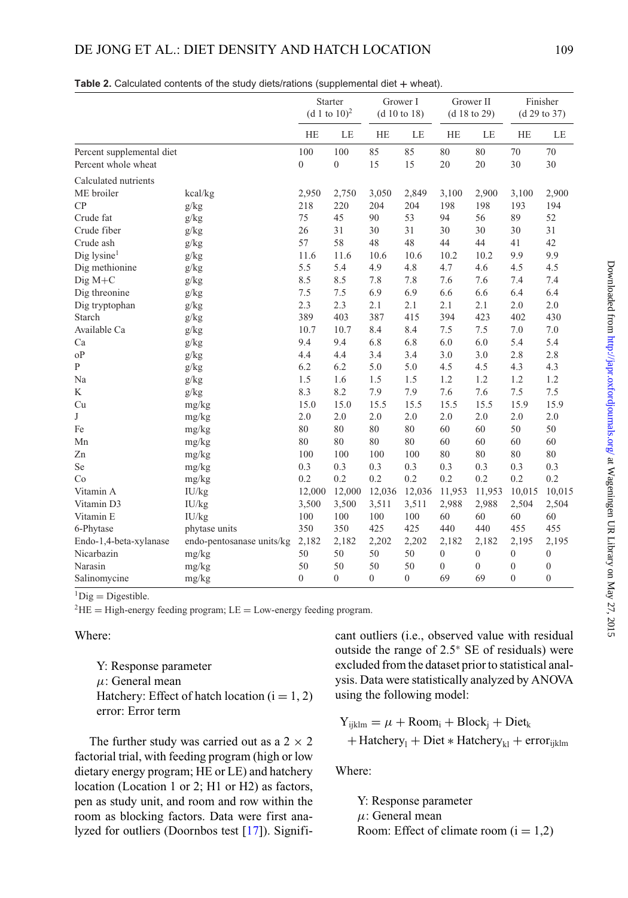# DE JONG ET AL.: DIET DENSITY AND HATCH LOCATION 109

|                                                  |                           | Starter<br>$(d 1 to 10)^2$ |                       |           | Grower I<br>(d 10 to 18) | Grower II<br>(d 18 to 29) |              | Finisher<br>(d 29 to 37) |                  |
|--------------------------------------------------|---------------------------|----------------------------|-----------------------|-----------|--------------------------|---------------------------|--------------|--------------------------|------------------|
|                                                  |                           | <b>HE</b>                  | LE                    | <b>HE</b> | LE                       | <b>HE</b>                 | LE           | <b>HE</b>                | LE               |
| Percent supplemental diet<br>Percent whole wheat |                           | 100<br>$\mathbf{0}$        | 100<br>$\overline{0}$ | 85<br>15  | 85<br>15                 | 80<br>20                  | 80<br>20     | 70<br>30                 | 70<br>30         |
| Calculated nutrients                             |                           |                            |                       |           |                          |                           |              |                          |                  |
| ME broiler                                       | kcal/kg                   | 2,950                      | 2,750                 | 3,050     | 2,849                    | 3,100                     | 2,900        | 3,100                    | 2,900            |
| CP                                               | g/kg                      | 218                        | 220                   | 204       | 204                      | 198                       | 198          | 193                      | 194              |
| Crude fat                                        | g/kg                      | 75                         | 45                    | 90        | 53                       | 94                        | 56           | 89                       | 52               |
| Crude fiber                                      | g/kg                      | 26                         | 31                    | 30        | 31                       | 30                        | 30           | 30                       | 31               |
| Crude ash                                        | g/kg                      | 57                         | 58                    | 48        | 48                       | 44                        | 44           | 41                       | 42               |
| $\text{Dig}$ lysine <sup>1</sup>                 | g/kg                      | 11.6                       | 11.6                  | 10.6      | 10.6                     | 10.2                      | 10.2         | 9.9                      | 9.9              |
| Dig methionine                                   | g/kg                      | 5.5                        | 5.4                   | 4.9       | 4.8                      | 4.7                       | 4.6          | 4.5                      | 4.5              |
| $DigitM+C$                                       | g/kg                      | 8.5                        | 8.5                   | 7.8       | 7.8                      | 7.6                       | 7.6          | 7.4                      | 7.4              |
| Dig threonine                                    | g/kg                      | 7.5                        | 7.5                   | 6.9       | 6.9                      | 6.6                       | 6.6          | 6.4                      | 6.4              |
| Dig tryptophan                                   | g/kg                      | 2.3                        | 2.3                   | 2.1       | 2.1                      | 2.1                       | 2.1          | 2.0                      | 2.0              |
| Starch                                           | g/kg                      | 389                        | 403                   | 387       | 415                      | 394                       | 423          | 402                      | 430              |
| Available Ca                                     | g/kg                      | 10.7                       | 10.7                  | 8.4       | 8.4                      | 7.5                       | 7.5          | 7.0                      | 7.0              |
| Ca                                               | g/kg                      | 9.4                        | 9.4                   | 6.8       | 6.8                      | 6.0                       | 6.0          | 5.4                      | 5.4              |
| oP                                               | g/kg                      | 4.4                        | 4.4                   | 3.4       | 3.4                      | 3.0                       | 3.0          | 2.8                      | 2.8              |
| $\mathbf{P}$                                     | g/kg                      | 6.2                        | 6.2                   | 5.0       | 5.0                      | 4.5                       | 4.5          | 4.3                      | 4.3              |
| Na                                               | g/kg                      | 1.5                        | 1.6                   | 1.5       | 1.5                      | 1.2                       | 1.2          | 1.2                      | 1.2              |
| K                                                | g/kg                      | 8.3                        | 8.2                   | 7.9       | 7.9                      | 7.6                       | 7.6          | 7.5                      | 7.5              |
| Cu                                               | mg/kg                     | 15.0                       | 15.0                  | 15.5      | 15.5                     | 15.5                      | 15.5         | 15.9                     | 15.9             |
| J                                                | mg/kg                     | 2.0                        | 2.0                   | 2.0       | 2.0                      | 2.0                       | 2.0          | 2.0                      | 2.0              |
| Fe                                               | mg/kg                     | 80                         | 80                    | 80        | 80                       | 60                        | 60           | 50                       | 50               |
| Mn                                               | mg/kg                     | 80                         | 80                    | 80        | 80                       | 60                        | 60           | 60                       | 60               |
| Zn                                               | mg/kg                     | 100                        | 100                   | 100       | 100                      | 80                        | 80           | 80                       | 80               |
| Se                                               | mg/kg                     | 0.3                        | 0.3                   | 0.3       | 0.3                      | 0.3                       | 0.3          | 0.3                      | 0.3              |
| Co                                               | mg/kg                     | 0.2                        | 0.2                   | 0.2       | 0.2                      | 0.2                       | 0.2          | 0.2                      | 0.2              |
| Vitamin A                                        | IU/kg                     | 12,000                     | 12,000                | 12,036    | 12,036                   | 11,953                    | 11,953       | 10,015                   | 10,015           |
| Vitamin D3                                       | IU/kg                     | 3,500                      | 3,500                 | 3,511     | 3,511                    | 2,988                     | 2,988        | 2,504                    | 2,504            |
| Vitamin E                                        | IU/kg                     | 100                        | 100                   | 100       | 100                      | 60                        | 60           | 60                       | 60               |
| 6-Phytase                                        | phytase units             | 350                        | 350                   | 425       | 425                      | 440                       | 440          | 455                      | 455              |
| Endo-1,4-beta-xylanase                           | endo-pentosanase units/kg | 2,182                      | 2,182                 | 2,202     | 2,202                    | 2,182                     | 2,182        | 2,195                    | 2,195            |
| Nicarbazin                                       | mg/kg                     | 50                         | 50                    | 50        | 50                       | $\overline{0}$            | $\mathbf{0}$ | $\mathbf{0}$             | $\boldsymbol{0}$ |
| Narasin                                          | mg/kg                     | 50                         | 50                    | 50        | 50                       | $\overline{0}$            | $\mathbf{0}$ | $\mathbf{0}$             | $\boldsymbol{0}$ |
| Salinomycine                                     | mg/kg                     | $\mathbf{0}$               | $\theta$              | $\theta$  | $\theta$                 | 69                        | 69           | $\theta$                 | $\theta$         |

<span id="page-4-0"></span>

|  |  |  |  |  |  | Table 2. Calculated contents of the study diets/rations (supplemental diet $+$ wheat). |  |  |
|--|--|--|--|--|--|----------------------------------------------------------------------------------------|--|--|
|--|--|--|--|--|--|----------------------------------------------------------------------------------------|--|--|

 ${}^{1}$ Dig = Digestible.

 $^{2}$ HE = High-energy feeding program; LE = Low-energy feeding program.

#### Where:

Y: Response parameter  $\mu$ : General mean Hatchery: Effect of hatch location  $(i = 1, 2)$ error: Error term

The further study was carried out as a  $2 \times 2$ factorial trial, with feeding program (high or low dietary energy program; HE or LE) and hatchery location (Location 1 or 2; H1 or H2) as factors, pen as study unit, and room and row within the roo[m](#page-5-0) as blocking factors. Data were first analyzed for outliers (Doornbos test [\[17\]](#page-9-7)). Significant outliers (i.e., observed value with residual outside the range of 2.5<sup>∗</sup> SE of residuals) were excluded from the dataset prior to statistical analysis. Data were statistically analyzed by ANOVA using the following model:

 $Y_{ijklm} = \mu + \text{Room}_i + \text{Block}_i + \text{Dict}_k$ + Hatchery<sub>1</sub> + Diet  $*$  Hatchery<sub>k1</sub> + error<sub>ijklm</sub>

Where:

Y: Response parameter  $\mu$ : General mean Room: Effect of climate room  $(i = 1,2)$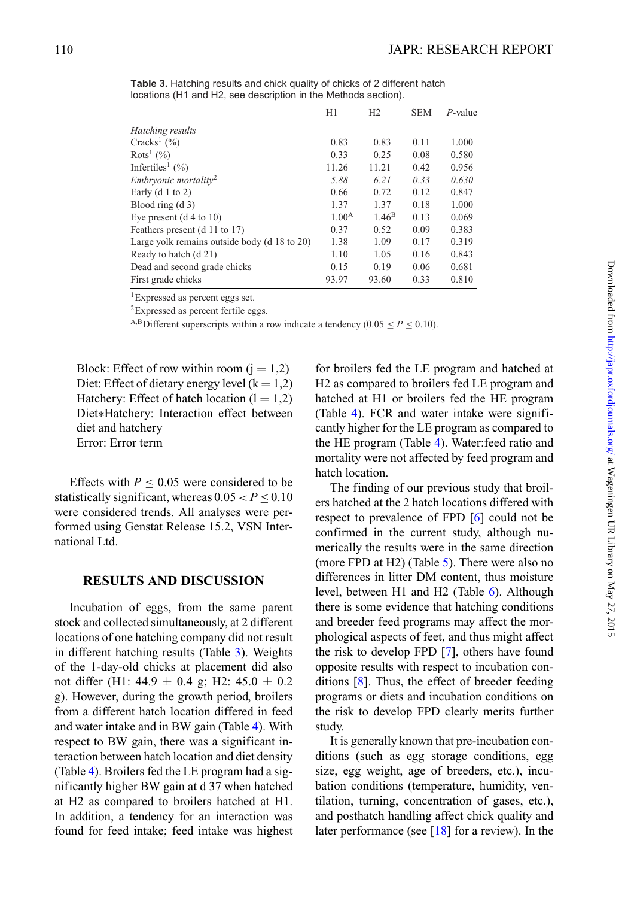|                                              | H1                | H <sub>2</sub>    | <b>SEM</b> | $P$ -value |
|----------------------------------------------|-------------------|-------------------|------------|------------|
| Hatching results                             |                   |                   |            |            |
| Cracks <sup>1</sup> $(\% )$                  | 0.83              | 0.83              | 0.11       | 1.000      |
| Rots <sup>1</sup> (%)                        | 0.33              | 0.25              | 0.08       | 0.580      |
| Infertiles <sup>1</sup> $(\% )$              | 11.26             | 11.21             | 0.42       | 0.956      |
| <i>Embryonic mortality</i> <sup>2</sup>      | 5.88              | 6.21              | 0.33       | 0.630      |
| Early $(d 1 to 2)$                           | 0.66              | 0.72              | 0.12       | 0.847      |
| Blood ring $(d_3)$                           | 1.37              | 1.37              | 0.18       | 1.000      |
| Eye present $(d 4 to 10)$                    | 1.00 <sup>A</sup> | 1.46 <sup>B</sup> | 0.13       | 0.069      |
| Feathers present (d 11 to 17)                | 0.37              | 0.52              | 0.09       | 0.383      |
| Large yolk remains outside body (d 18 to 20) | 1.38              | 1.09              | 0.17       | 0.319      |
| Ready to hatch (d 21)                        | 1.10              | 1.05              | 0.16       | 0.843      |
| Dead and second grade chicks                 | 0.15              | 0.19              | 0.06       | 0.681      |
| First grade chicks                           | 93.97             | 93.60             | 0.33       | 0.810      |

<span id="page-5-0"></span>**Table 3.** Hatching results and chick quality of chicks of 2 different hatch locations (H1 and H2, see description in the Methods section).

1Expressed as percent eggs set.

<sup>2</sup>Expressed as percent fertile eggs.

<sup>A,B</sup>Different superscripts within a row indicate a tendency (0.05  $\leq$  *P*  $\leq$  0.10).

Block: Effect of row within room  $(i = 1,2)$ Diet: Effect of dietary energy level  $(k = 1,2)$ Hatchery: Effect of hatch location  $(l = 1,2)$ Diet∗Hatchery: Interaction effect between diet and hatchery Error: Error term

Effects with  $P \leq 0.05$  were considered to be statistically significant, whereas  $0.05 < P < 0.10$ were considered trends. All analyses were performed using Genstat Release 15.2, VSN International Ltd.

### **RESULTS AND DISCUSSION**

Incubation of eggs, from the same parent stock and collected simultaneously, at 2 different locations of one hatching company did not result in different hatching results (Table [3\)](#page-5-0). Weights of the 1-day-old chicks at placement did also not differ (H1: 44.9  $\pm$  0.4 g; H2: 45.0  $\pm$  0.2 g). However, during the growth period, broilers from a different hatch location differed in feed and water intake and in BW gain (Table [4\)](#page-6-0). With respect to BW gain, there was a significant interaction between hatch location and diet density (Table [4\)](#page-6-0). Broilers fed the LE program had a significantly higher BW gain at d 37 when hatched at H2 as compared to broilers hatched at H1. In addition, a tendency for an interaction was found for feed intake; feed intake was highest

for broilers fed the LE program and hatched at H2 as compared to broilers fed LE program and hatched at H1 or broilers fed the HE program (Table [4\)](#page-6-0). FCR and water intake were significantly higher for the LE program as compared to the HE program (Table [4\)](#page-6-0). Water:feed ratio and mortality were not affected by feed program and hatch location.

The finding of our previous study that broilers hatched at the 2 hatch locations differed with respect to prevalence of FPD [\[6\]](#page-8-4) could not be confirmed in the current study, although numerically the results were in the same direction (more FPD at H2) (Table [5\)](#page-6-1). There were also no differences in litter DM content, thus moisture level, between H1 and H2 (Table [6\)](#page-7-0). Although there is some evidence that hatching conditions and breeder feed programs may affect the morphological aspects of feet, and thus might affect the risk to develop FPD [\[7\]](#page-8-5), others have found opposite results with respect to incubation conditions [\[8\]](#page-8-6). Thus, the effect of breeder feeding programs or diets and incubation conditions on the risk to develop FPD clearly merits further study.

It is generally known that pre-incubation conditions (such as egg storage conditions, egg size, egg weight, age of breeders, etc.), incubation conditions (temperature, humidity, ventilation, turning, concentration of gases, etc.), and posthatch handling affect chick quality and later performance (see  $[18]$  for a review). In the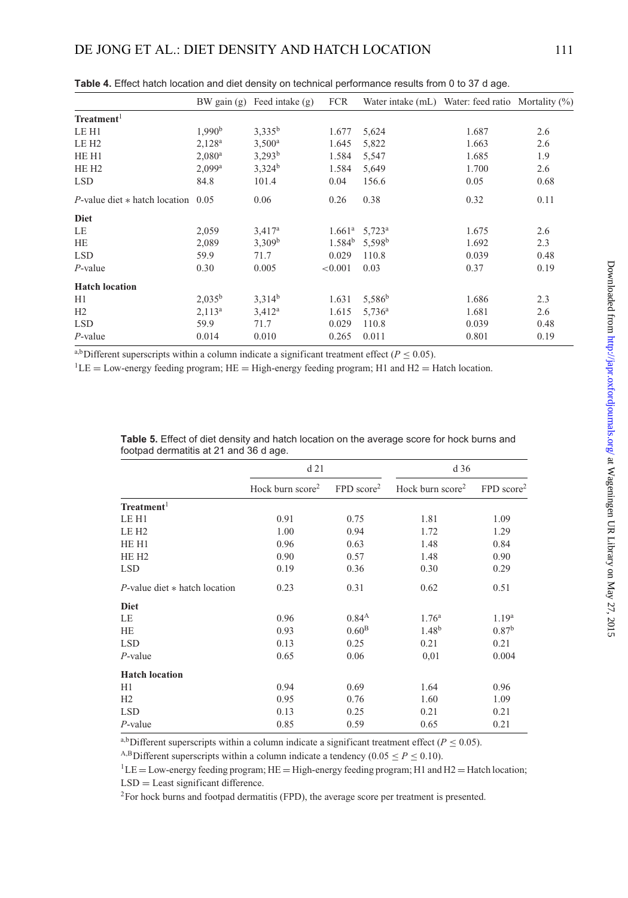|                                                |                      | BW gain $(g)$ Feed intake $(g)$ | FCR     | Water intake (mL) Water: feed ratio Mortality (%) |       |      |
|------------------------------------------------|----------------------|---------------------------------|---------|---------------------------------------------------|-------|------|
| Treatment <sup>1</sup>                         |                      |                                 |         |                                                   |       |      |
| LE H1                                          | 1,990 <sup>b</sup>   | $3,335^{b}$                     | 1.677   | 5,624                                             | 1.687 | 2.6  |
| LE H <sub>2</sub>                              | $2,128^a$            | $3,500^a$                       | 1.645   | 5,822                                             | 1.663 | 2.6  |
| HE H1                                          | $2,080$ <sup>a</sup> | $3,293^b$                       | 1.584   | 5,547                                             | 1.685 | 1.9  |
| HE H <sub>2</sub>                              | $2,099^a$            | $3,324^b$                       | 1.584   | 5,649                                             | 1.700 | 2.6  |
| <b>LSD</b>                                     | 84.8                 | 101.4                           | 0.04    | 156.6                                             | 0.05  | 0.68 |
| <i>P</i> -value diet $*$ hatch location $0.05$ |                      | 0.06                            | 0.26    | 0.38                                              | 0.32  | 0.11 |
| <b>Diet</b>                                    |                      |                                 |         |                                                   |       |      |
| LE                                             | 2,059                | $3,417^a$                       |         | $1.661^a$ 5,723 <sup>a</sup>                      | 1.675 | 2.6  |
| HE                                             | 2,089                | 3,309 <sup>b</sup>              |         | $1.584^b$ 5,598 <sup>b</sup>                      | 1.692 | 2.3  |
| <b>LSD</b>                                     | 59.9                 | 71.7                            | 0.029   | 110.8                                             | 0.039 | 0.48 |
| $P$ -value                                     | 0.30                 | 0.005                           | < 0.001 | 0.03                                              | 0.37  | 0.19 |
| <b>Hatch location</b>                          |                      |                                 |         |                                                   |       |      |
| H1                                             | $2,035^b$            | $3,314^b$                       | 1.631   | 5,586 <sup>b</sup>                                | 1.686 | 2.3  |
| H2                                             | $2,113^a$            | $3,412^a$                       | 1.615   | 5,736 <sup>a</sup>                                | 1.681 | 2.6  |
| <b>LSD</b>                                     | 59.9                 | 71.7                            | 0.029   | 110.8                                             | 0.039 | 0.48 |
| $P$ -value                                     | 0.014                | 0.010                           | 0.265   | 0.011                                             | 0.801 | 0.19 |

<span id="page-6-0"></span>**Table 4.** Effect hatch location and diet density on technical performance results from 0 to 37 d age.

<sup>a,b</sup>Different superscripts within a column indicate a significant treatment effect ( $P \le 0.05$ ).

 ${}^{1}$ LE = Low-energy feeding program; HE = High-energy feeding program; H1 and H2 = Hatch location.

|                                    | d21                          |                          | d <sub>36</sub>    |                          |  |
|------------------------------------|------------------------------|--------------------------|--------------------|--------------------------|--|
|                                    | Hock burn score <sup>2</sup> | $FPD$ score <sup>2</sup> | Hock burn $score2$ | $FPD$ score <sup>2</sup> |  |
| Treatment <sup>1</sup>             |                              |                          |                    |                          |  |
| LE H1                              | 0.91                         | 0.75                     | 1.81               | 1.09                     |  |
| LE H <sub>2</sub>                  | 1.00                         | 0.94                     | 1.72               | 1.29                     |  |
| HE H1                              | 0.96                         | 0.63                     | 1.48               | 0.84                     |  |
| HE H <sub>2</sub>                  | 0.90                         | 0.57                     | 1.48               | 0.90                     |  |
| <b>LSD</b>                         | 0.19                         | 0.36                     | 0.30               | 0.29                     |  |
| $P$ -value diet $*$ hatch location | 0.23                         | 0.31                     | 0.62               | 0.51                     |  |
| <b>Diet</b>                        |                              |                          |                    |                          |  |
| LE                                 | 0.96                         | $0.84^{A}$               | 1.76 <sup>a</sup>  | 1.19 <sup>a</sup>        |  |
| <b>HE</b>                          | 0.93                         | 0.60 <sup>B</sup>        | 1.48 <sup>b</sup>  | 0.87 <sup>b</sup>        |  |
| <b>LSD</b>                         | 0.13                         | 0.25                     | 0.21               | 0.21                     |  |
| $P$ -value                         | 0.65                         | 0.06                     | 0,01               | 0.004                    |  |
| <b>Hatch location</b>              |                              |                          |                    |                          |  |
| H1                                 | 0.94                         | 0.69                     | 1.64               | 0.96                     |  |
| H2                                 | 0.95                         | 0.76                     | 1.60               | 1.09                     |  |
| <b>LSD</b>                         | 0.13                         | 0.25                     | 0.21               | 0.21                     |  |
| $P$ -value                         | 0.85                         | 0.59                     | 0.65               | 0.21                     |  |

<span id="page-6-1"></span>**Table 5.** Effect of diet density and hatch location on the average score for hock burns and footpad dermatitis at 21 and 36 d age.

a,bDifferent superscripts within a column indicate a significant treatment effect ( $P \le 0.05$ ).

A,BDifferent superscripts within a column indicate a tendency ( $0.05 \le P \le 0.10$ ).

 ${}^{1}$ LE = Low-energy feeding program; HE = High-energy feeding program; H1 and H2 = Hatch location; LSD = Least significant difference.

<sup>2</sup>For hock burns and footpad dermatitis (FPD), the average score per treatment is presented.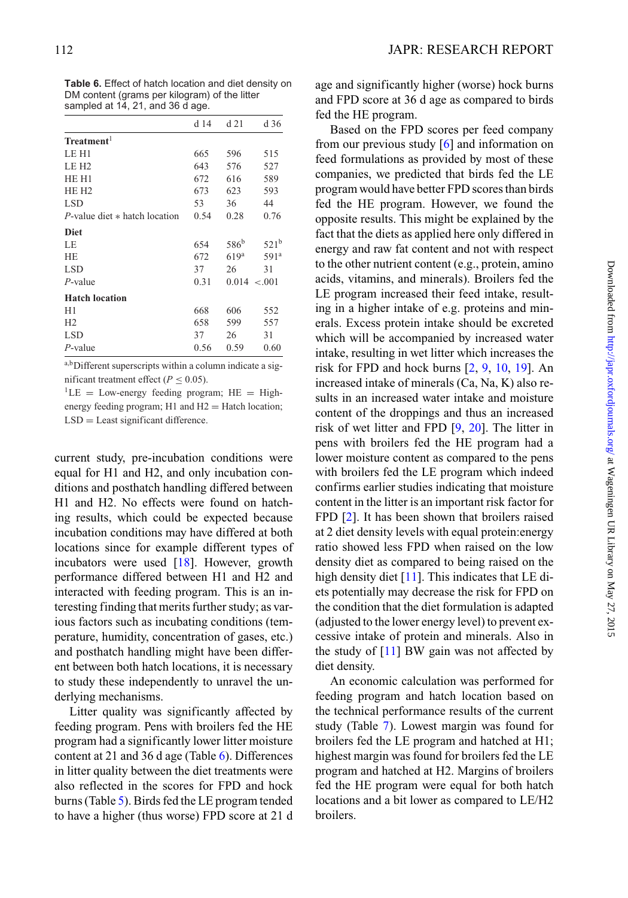|                                    | d 14 | d 21             | d 36             |
|------------------------------------|------|------------------|------------------|
| Treatment <sup>1</sup>             |      |                  |                  |
| LE H1                              | 665  | 596              | 515              |
| LE H <sub>2</sub>                  | 643  | 576              | 527              |
| HE H1                              | 672  | 616              | 589              |
| HE <sub>H2</sub>                   | 673  | 623              | 593              |
| <b>LSD</b>                         | 53   | 36               | 44               |
| $P$ -value diet $*$ hatch location | 0.54 | 0.28             | 0.76             |
| <b>Diet</b>                        |      |                  |                  |
| LE                                 | 654  | 586 <sup>b</sup> | 521 <sup>b</sup> |
| <b>HE</b>                          | 672  | 619 <sup>a</sup> | 591 <sup>a</sup> |
| <b>LSD</b>                         | 37   | 26               | 31               |
| $P$ -value                         | 0.31 | 0.014 < 0.001    |                  |
| <b>Hatch location</b>              |      |                  |                  |
| H1                                 | 668  | 606              | 552              |
| H2                                 | 658  | 599              | 557              |
| <b>LSD</b>                         | 37   | 26               | 31               |
| $P$ -value                         | 0.56 | 0.59             | 0.60             |

<span id="page-7-0"></span>**Table 6.** Effect of hatch location and diet density on DM content (grams per kilogram) of the litter sampled at 14, 21, and 36 d age.

a,b Different superscripts within a column indicate a significant treatment effect ( $P \le 0.05$ ).

 ${}^{1}$ LE = Low-energy feeding program; HE = Highenergy feeding program;  $H1$  and  $H2 = H$ atch location; LSD = Least significant difference.

current study, pre-incubation conditions were equal for H1 and H2, and only incubation conditions and posthatch handling differed between H1 and H2. No effects were found on hatching results, which could be expected because incubation conditions may have differed at both locations since for example different types of incubators were used [\[18\]](#page-9-8). However, growth performance differed between H1 and H2 and interacted with feeding program. This is an interesting finding that merits further study; as various factors such as incubating conditions (temperature, humidity, concentration of gases, etc.) and posthatch handling might have been different between both hatch locations, it is necessary to study these independently to unravel the underlying mechanisms.

Litter quality was significantly affected by feeding program. Pens with broilers fed the HE program had a significantly lower litter moisture content at 21 and 36 d age (Table  $6$ ). Differences in litter quality between the diet treatments were also reflected in the scores for FPD and hock burns (Table [5\)](#page-6-1). Birds fed the LE program tended to have a higher (thus worse) FPD score at 21 d age and significantly higher (worse) hock burns and FPD score at 36 d age as compared to birds fed the HE program.

Based on the FPD scores per feed company from our previous study [\[6\]](#page-8-4) and information on feed formulations as provided by most of these companies, we predicted that birds fed the LE program would have better FPD scores than birds fed the HE program. However, we found the opposite results. This might be explained by the fact that the diets as applied here only differed in energy and raw fat conten[t](#page-7-0) and not with respect to the other nutrient content (e.g., protein, amino acids, vitamins, and minerals). Broilers fed the LE program increased their feed intake, resulting in a higher intake of e.g. proteins and minerals. Excess protein intake should be excreted which will be accompanied by increased water intake, resulting in wet litter which increases the risk for FPD and hock burns [\[2,](#page-8-2) [9,](#page-8-7) [10,](#page-9-0) [19\]](#page-9-9). An increased intake of minerals (Ca, Na, K) also results in an increased water intake and moisture content of the droppings and thus an increased risk of wet litter and FPD [\[9,](#page-8-7) [20\]](#page-9-10). The litter in pens with broilers fed the HE program had a lower moisture content as compared to the pens with broilers fed the LE program which indeed confirms earlier studies indicating that moisture content in the litter is an important risk factor for FPD [\[2\]](#page-8-2). It has been shown that broilers raised at 2 diet density levels with equal protein:energy ratio showed less FPD when raised on the low density diet as compared to being raised on the high density diet  $[11]$ . This indicates that LE diets potentially may decrease the risk for FPD on the condition that the diet formulation is adapted (adjusted to the lower energy level) to prevent excessive intake of protein and minerals. Also in the study of [\[11\]](#page-9-1) BW gain was not affected by diet density.

An economic calculation was performed for feeding program and hatch location based on the technical performance results of the current study (Table [7\)](#page-8-9). Lowest margin was found for broilers fed the LE program and hatched at H1; highest margin was found for broilers fed the LE program and hatched at H2. Margins of broilers fed the HE program were equal for both hatch locations and a bit lower as compared to LE/H2 broilers.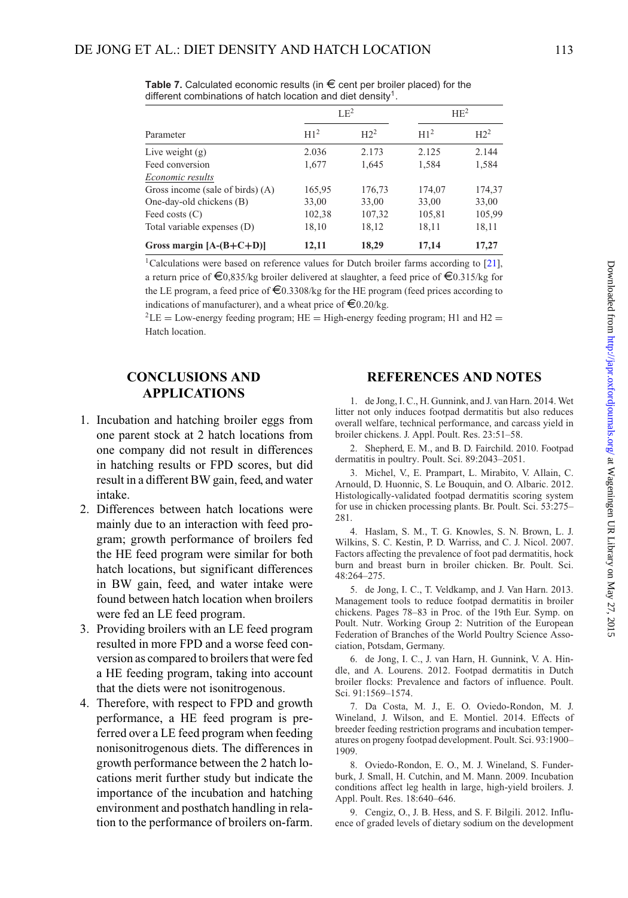|                                    | $LE^2$          |                 |                 | HE <sup>2</sup> |
|------------------------------------|-----------------|-----------------|-----------------|-----------------|
| Parameter                          | H1 <sup>2</sup> | H2 <sup>2</sup> | H1 <sup>2</sup> | H2 <sup>2</sup> |
| Live weight $(g)$                  | 2.036           | 2.173           | 2.125           | 2.144           |
| Feed conversion                    | 1,677           | 1,645           | 1,584           | 1,584           |
| Economic results                   |                 |                 |                 |                 |
| Gross income (sale of birds) $(A)$ | 165,95          | 176,73          | 174,07          | 174,37          |
| One-day-old chickens (B)           | 33,00           | 33,00           | 33,00           | 33,00           |
| Feed costs $(C)$                   | 102,38          | 107,32          | 105,81          | 105,99          |
| Total variable expenses (D)        | 18,10           | 18,12           | 18,11           | 18,11           |
| Gross margin $[A-(B+C+D)]$         | 12,11           | 18,29           | 17,14           | 17,27           |

<span id="page-8-9"></span>**Table 7.** Calculated economic results (in  $\epsilon$  cent per broiler placed) for the different combinations of hatch location and diet density<sup>1</sup>.

<sup>1</sup>Calculations were based on reference values for Dutch broiler farms according to [\[21\]](#page-9-11), a return price of  $\epsilon_{0.835/kg}$  broiler delivered at slaughter, a feed price of  $\epsilon_{0.315/kg}$  for the LE program, a feed price of  $\epsilon$ 0.3308/kg for the HE program (feed prices according to indications of manufacturer), and a wheat price of  $\epsilon$ 0.20/kg.

 ${}^{2}$ LE = Low-energy feeding program; HE = High-energy feeding program; H1 and H2 = Hatch location.

# **CONCLUSIONS AND APPLICATIONS**

- 1. Incubation and hatching broiler eggs from one parent stock at 2 hatch locations from one company did not result in differences in hatching results or FPD scores, but did result in a different BW gain, feed, and water intake.
- 2. Differences between hatch locations were mainly due to an interaction with feed program; growth performance of broilers fed the HE feed program were similar for both hatch locations, but significant differences in BW gain, feed, and water intake were found between hatch location when broilers were fed an LE feed program.
- 3. Providing broilers with an LE feed program resulted in more FPD and a worse feed conversion as compared to broilers that were fed a HE feeding program, taking into account that the diets were not isonitrogenous.
- 4. Therefore, with respect to FPD and growth performance, a HE feed program is preferred over a LE feed program when feeding nonisonitrogenous diets. The differences in growth performance between the 2 hatch locations merit further study but indicate the importance of the incubation and hatching environment and posthatch handling in relation to the performance of broilers on-farm.

# **REFERENCES AND NOTES**

<span id="page-8-8"></span>1. de Jong, I. C., H. Gunnink, and J. van Harn. 2014. Wet litter not only induces footpad dermatitis but also reduces overall welfare, technical performance, and carcass yield in broiler chickens. J. Appl. Poult. Res. 23:51–58.

<span id="page-8-2"></span>2. Shepherd, E. M., and B. D. Fairchild. 2010. Footpad dermatitis in poultry. Poult. Sci. 89:2043–2051.

<span id="page-8-0"></span>3. Michel, V., E. Prampart, L. Mirabito, V. Allain, C. Arnould, D. Huonnic, S. Le Bouquin, and O. Albaric. 2012. Histologically-validated footpad dermatitis scoring system for use in chicken processing plants. Br. Poult. Sci. 53:275– 281.

<span id="page-8-1"></span>4. Haslam, S. M., T. G. Knowles, S. N. Brown, L. J. Wilkins, S. C. Kestin, P. D. Warriss, and C. J. Nicol. 2007. Factors affecting the prevalence of foot pad dermatitis, hock burn and breast burn in broiler chicken. Br. Poult. Sci.  $48.264 - 275$ 

<span id="page-8-3"></span>5. de Jong, I. C., T. Veldkamp, and J. Van Harn. 2013. Management tools to reduce footpad dermatitis in broiler chickens. Pages 78–83 in Proc. of the 19th Eur. Symp. on Poult. Nutr. Working Group 2: Nutrition of the European Federation of Branches of the World Poultry Science Association, Potsdam, Germany.

<span id="page-8-4"></span>6. de Jong, I. C., J. van Harn, H. Gunnink, V. A. Hindle, and A. Lourens. 2012. Footpad dermatitis in Dutch broiler flocks: Prevalence and factors of influence. Poult. Sci. 91:1569–1574.

<span id="page-8-5"></span>7. Da Costa, M. J., E. O. Oviedo-Rondon, M. J. Wineland, J. Wilson, and E. Montiel. 2014. Effects of breeder feeding restriction programs and incubation temperatures on progeny footpad development. Poult. Sci. 93:1900– 1909.

<span id="page-8-6"></span>8. Oviedo-Rondon, E. O., M. J. Wineland, S. Funderburk, J. Small, H. Cutchin, and M. Mann. 2009. Incubation conditions affect leg health in large, high-yield broilers. J. Appl. Poult. Res. 18:640–646.

<span id="page-8-7"></span>9. Cengiz, O., J. B. Hess, and S. F. Bilgili. 2012. Influence of graded levels of dietary sodium on the development